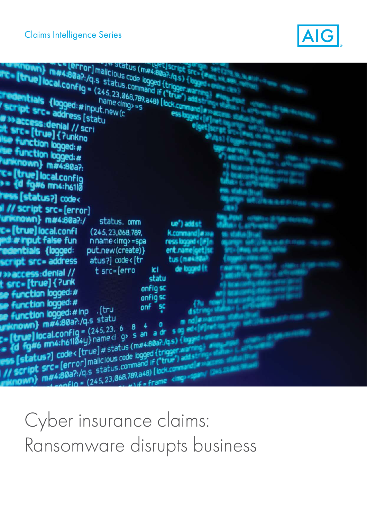

| max:80a?:/q.s status.command if ("true") and st                                                                                                                     | In status (m#4:80a?:/qs) (bygges)  |
|---------------------------------------------------------------------------------------------------------------------------------------------------------------------|------------------------------------|
| FC- [true] local.config - (245, 23,068,789, a48) [ lock.command a                                                                                                   |                                    |
| redentials (logged:#input.new(c)                                                                                                                                    |                                    |
| script src= address [statu<br>w » access: denial // scri                                                                                                            | ess byged of                       |
| st sirc= [true] { ?unkno                                                                                                                                            | <sup>e</sup> [get] <sub>se</sub>   |
| <b>Ise function logged:#</b><br>the function logged:#                                                                                                               |                                    |
| <b>Nunknown}</b> m#4:80a?:                                                                                                                                          |                                    |
| <b>T= [true] local.config</b><br><b>&gt;= {d fg#6 mn4:h61lo</b>                                                                                                     |                                    |
| <b>ress [status?]</b> code<                                                                                                                                         |                                    |
| Il // script src=[error]                                                                                                                                            |                                    |
| unknown} m#4:80a?:/<br>status, omm<br>c= [true] local.confi<br>(245, 23, 068, 789,                                                                                  | ue") addist<br><b>K.command</b>    |
| <b>ed: # input false fun</b><br>n name <imq> =spa</imq>                                                                                                             | ress logged « [#                   |
| <b>redentials (logged:</b><br>put.new(create)}<br>$atus$ ?] $code$ ([tr<br>script src= address                                                                      | ent.nameloet<br>tus (masagu)       |
| t src=[erro<br><b>Waccess:denial</b> //                                                                                                                             | de logged (t<br>ici<br>statu       |
| <b>t sirc= [true]</b> { ?unk<br><b>se function logged:#</b>                                                                                                         | onfig sc                           |
| se function logged:#<br>onf<br>. [tru                                                                                                                               | onfig sc                           |
| <b>De function logged:#inp</b><br>uniknown} m#4:80a?:/q.s statu                                                                                                     |                                    |
| <b>E = [true] local.config =</b> (245,23. 6)<br><b>= {d fg#6 mn4:h61l0</b> 4y} name <i g:<="" th=""><th></th></i>                                                   |                                    |
| ess [status?] code< [true]#status (m#4.80a?./qs) {logy                                                                                                              |                                    |
| // script src=[error]malicious code logged (trigger.<br>mitnown} m#4:80a?:/q.s status.command if ("true") attstr<br>anf lo = (245 23 068,789,a48) [lock.command low |                                    |
|                                                                                                                                                                     | 1) if = frame dire = sain/ (345.3) |

# Cyber insurance claims: Ransomware disrupts business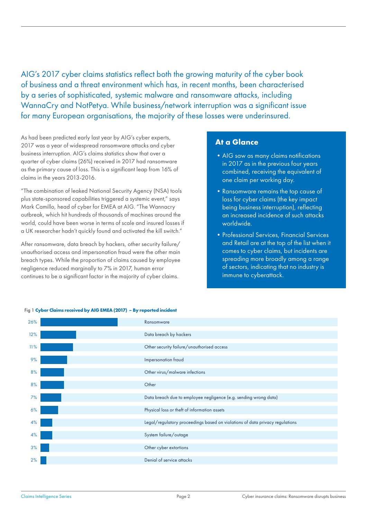AIG's 2017 cyber claims statistics reflect both the growing maturity of the cyber book of business and a threat environment which has, in recent months, been characterised by a series of sophisticated, systemic malware and ransomware attacks, including WannaCry and NotPetya. While business/network interruption was a significant issue for many European organisations, the majority of these losses were underinsured.

As had been predicted early last year by AIG's cyber experts, 2017 was a year of widespread ransomware attacks and cyber business interruption. AIG's claims statistics show that over a quarter of cyber claims (26%) received in 2017 had ransomware as the primary cause of loss. This is a significant leap from 16% of claims in the years 2013-2016.

"The combination of leaked National Security Agency (NSA) tools plus state-sponsored capabilities triggered a systemic event," says Mark Camillo, head of cyber for EMEA at AIG. "The Wannacry outbreak, which hit hundreds of thousands of machines around the world, could have been worse in terms of scale and insured losses if a UK researcher hadn't quickly found and activated the kill switch."

After ransomware, data breach by hackers, other security failure/ unauthorised access and impersonation fraud were the other main breach types. While the proportion of claims caused by employee negligence reduced marginally to 7% in 2017, human error continues to be a significant factor in the majority of cyber claims.

#### **At a Glance**

- AIG saw as many claims notifications in 2017 as in the previous four years combined, receiving the equivalent of one claim per working day.
- •Ransomware remains the top cause of loss for cyber claims (the key impact being business interruption), reflecting an increased incidence of such attacks worldwide.
- •Professional Services, Financial Services and Retail are at the top of the list when it comes to cyber claims, but incidents are spreading more broadly among a range of sectors, indicating that no industry is immune to cyberattack.

| 26% |  | Ransomware                                                                   |
|-----|--|------------------------------------------------------------------------------|
| 12% |  | Data breach by hackers                                                       |
| 11% |  | Other security failure/unauthorised access                                   |
| 9%  |  | Impersonation fraud                                                          |
| 8%  |  | Other virus/malware infections                                               |
| 8%  |  | Other                                                                        |
| 7%  |  | Data breach due to employee negligence (e.g. sending wrong data)             |
| 6%  |  | Physical loss or theft of information assets                                 |
| 4%  |  | Legal/regulatory proceedings based on violations of data privacy regulations |
| 4%  |  | System failure/outage                                                        |
| 3%  |  | Other cyber extortions                                                       |
| 2%  |  | Denial of service attacks                                                    |
|     |  |                                                                              |

#### Fig 1 **Cyber Claims received by AIG EMEA (2017) – By reported incident**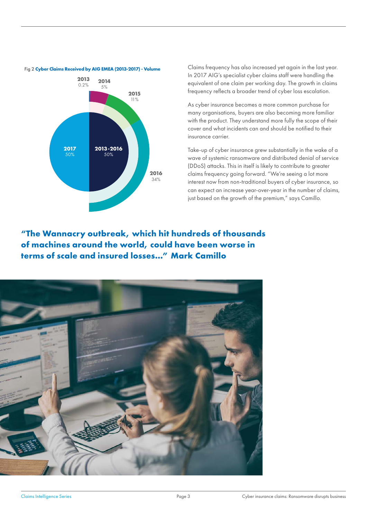

#### Fig 2 **Cyber Claims Received by AIG EMEA (2013-2017) - Volume**

Claims frequency has also increased yet again in the last year. In 2017 AIG's specialist cyber claims staff were handling the equivalent of one claim per working day. The growth in claims frequency reflects a broader trend of cyber loss escalation.

As cyber insurance becomes a more common purchase for many organisations, buyers are also becoming more familiar with the product. They understand more fully the scope of their cover and what incidents can and should be notified to their insurance carrier.

Take-up of cyber insurance grew substantially in the wake of a wave of systemic ransomware and distributed denial of service (DDoS) attacks. This in itself is likely to contribute to greater claims frequency going forward. "We're seeing a lot more interest now from non-traditional buyers of cyber insurance, so can expect an increase year-over-year in the number of claims, just based on the growth of the premium," says Camillo.

**"The Wannacry outbreak, which hit hundreds of thousands of machines around the world, could have been worse in terms of scale and insured losses…" Mark Camillo**

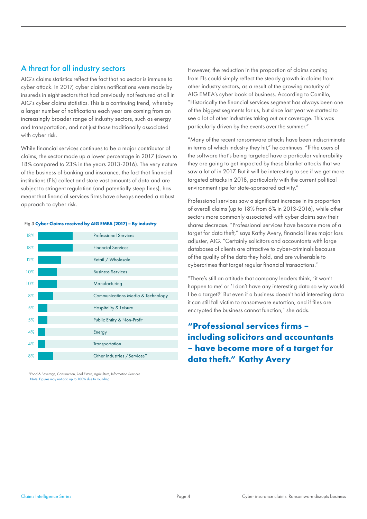# A threat for all industry sectors

AIG's claims statistics reflect the fact that no sector is immune to cyber attack. In 2017, cyber claims notifications were made by insureds in eight sectors that had previously not featured at all in AIG's cyber claims statistics. This is a continuing trend, whereby a larger number of notifications each year are coming from an increasingly broader range of industry sectors, such as energy and transportation, and not just those traditionally associated with cyber risk.

While financial services continues to be a major contributor of claims, the sector made up a lower percentage in 2017 (down to 18% compared to 23% in the years 2013-2016). The very nature of the business of banking and insurance, the fact that financial institutions (FIs) collect and store vast amounts of data and are subject to stringent regulation (and potentially steep fines), has meant that financial services firms have always needed a robust approach to cyber risk.

| 18% | <b>Professional Services</b>                 |
|-----|----------------------------------------------|
| 18% | <b>Financial Services</b>                    |
| 12% | Retail / Wholesale                           |
| 10% | <b>Business Services</b>                     |
| 10% | Manufacturing                                |
| 8%  | <b>Communications Media &amp; Technology</b> |
| 5%  | <b>Hospitality &amp; Leisure</b>             |
| 5%  | Public Entity & Non-Profit                   |
| 4%  | Energy                                       |
| 4%  | Transportation                               |
| 8%  | Other Industries / Services*                 |

#### Fig 3 **Cyber Claims received by AIG EMEA (2017) – By industry**

\*Food & Beverage, Construction, Real Estate, Agriculture, Information Services Note: Figures may not add up to 100% due to rounding

However, the reduction in the proportion of claims coming from FIs could simply reflect the steady growth in claims from other industry sectors, as a result of the growing maturity of AIG EMEA's cyber book of business. According to Camillo, "Historically the financial services segment has always been one of the biggest segments for us, but since last year we started to see a lot of other industries taking out our coverage. This was particularly driven by the events over the summer."

"Many of the recent ransomware attacks have been indiscriminate in terms of which industry they hit," he continues. "If the users of the software that's being targeted have a particular vulnerability they are going to get impacted by these blanket attacks that we saw a lot of in 2017. But it will be interesting to see if we get more targeted attacks in 2018, particularly with the current political environment ripe for state-sponsored activity."

Professional services saw a significant increase in its proportion of overall claims (up to 18% from 6% in 2013-2016), while other sectors more commonly associated with cyber claims saw their shares decrease. "Professional services have become more of a target for data theft," says Kathy Avery, financial lines major loss adjuster, AIG. "Certainly solicitors and accountants with large databases of clients are attractive to cyber-criminals because of the quality of the data they hold, and are vulnerable to cybercrimes that target regular financial transactions."

"There's still an attitude that company leaders think, 'it won't happen to me' or 'I don't have any interesting data so why would I be a target?' But even if a business doesn't hold interesting data it can still fall victim to ransomware extortion, and if files are encrypted the business cannot function," she adds.

# **"Professional services firms – including solicitors and accountants – have become more of a target for data theft." Kathy Avery**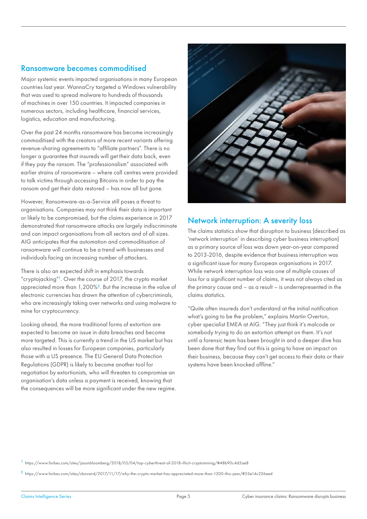### Ransomware becomes commoditised

Major systemic events impacted organisations in many European countries last year. WannaCry targeted a Windows vulnerability that was used to spread malware to hundreds of thousands of machines in over 150 countries. It impacted companies in numerous sectors, including healthcare, financial services, logistics, education and manufacturing.

Over the past 24 months ransomware has become increasingly commoditised with the creators of more recent variants offering revenue-sharing agreements to "affiliate partners". There is no longer a guarantee that insureds will get their data back, even if they pay the ransom. The "professionalism" associated with earlier strains of ransomware – where call centres were provided to talk victims through accessing Bitcoins in order to pay the ransom and get their data restored – has now all but gone.

However, Ransomware-as-a-Service still poses a threat to organisations. Companies may not think their data is important or likely to be compromised, but the claims experience in 2017 demonstrated that ransomware attacks are largely indiscriminate and can impact organisations from all sectors and of all sizes. AIG anticipates that the automation and commoditisation of ransomware will continue to be a trend with businesses and individuals facing an increasing number of attackers.

There is also an expected shift in emphasis towards "cryptojacking"1. Over the course of 2017, the crypto market appreciated more than 1,200%2. But the increase in the value of electronic currencies has drawn the attention of cybercriminals, who are increasingly taking over networks and using malware to mine for cryptocurrency.

Looking ahead, the more traditional forms of extortion are expected to become an issue in data breaches and become more targeted. This is currently a trend in the US market but has also resulted in losses for European companies, particularly those with a US presence. The EU General Data Protection Regulations (GDPR) is likely to become another tool for negotiation by extortionists, who will threaten to compromise an organisation's data unless a payment is received, knowing that the consequences will be more significant under the new regime.



## Network interruption: A severity loss

The claims statistics show that disruption to business (described as 'network interruption' in describing cyber business interruption) as a primary source of loss was down year-on-year compared to 2013-2016, despite evidence that business interruption was a significant issue for many European organisations in 2017. While network interruption loss was one of multiple causes of loss for a significant number of claims, it was not always cited as the primary cause and – as a result – is underrepresented in the claims statistics.

"Quite often insureds don't understand at the initial notification what's going to be the problem," explains Martin Overton, cyber specialist EMEA at AIG. "They just think it's malcode or somebody trying to do an extortion attempt on them. It's not until a forensic team has been brought in and a deeper dive has been done that they find out this is going to have an impact on their business, because they can't get access to their data or their systems have been knocked offline."

<sup>1</sup> https://www.forbes.com/sites/jasonbloomberg/2018/03/04/top-cyberthreat-of-2018-illicit-cryptomining/#48b90c4d5ae8

<sup>2</sup> https://www.forbes.com/sites/cbovaird/2017/11/17/why-the-crypto-market-has-appreciated-more-than-1200-this-year/#53e14c226eed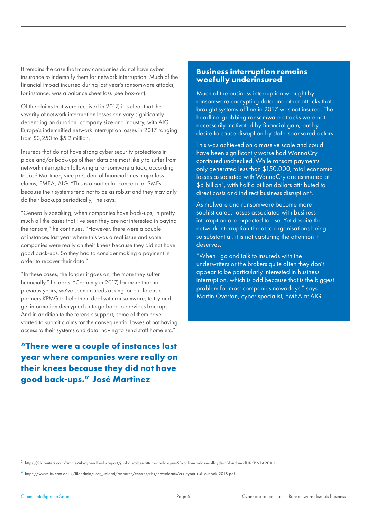It remains the case that many companies do not have cyber insurance to indemnify them for network interruption. Much of the financial impact incurred during last year's ransomware attacks, for instance, was a balance sheet loss (see box-out).

Of the claims that were received in 2017, it is clear that the severity of network interruption losses can vary significantly depending on duration, company size and industry, with AIG Europe's indemnified network interruption losses in 2017 ranging from \$3,250 to \$5.2 million.

Insureds that do not have strong cyber security protections in place and/or back-ups of their data are most likely to suffer from network interruption following a ransomware attack, according to José Martinez, vice president of financial lines major loss claims, EMEA, AIG. "This is a particular concern for SMEs because their systems tend not to be as robust and they may only do their backups periodically," he says.

"Generally speaking, when companies have back-ups, in pretty much all the cases that I've seen they are not interested in paying the ransom," he continues. "However, there were a couple of instances last year where this was a real issue and some companies were really on their knees because they did not have good back-ups. So they had to consider making a payment in order to recover their data."

"In these cases, the longer it goes on, the more they suffer financially," he adds. "Certainly in 2017, far more than in previous years, we've seen insureds asking for our forensic partners KPMG to help them deal with ransomware, to try and get information decrypted or to go back to previous backups. And in addition to the forensic support, some of them have started to submit claims for the consequential losses of not having access to their systems and data, having to send staff home etc."

**"There were a couple of instances last year where companies were really on their knees because they did not have good back-ups." José Martinez**

#### **Business interruption remains woefully underinsured**

Much of the business interruption wrought by ransomware encrypting data and other attacks that brought systems offline in 2017 was not insured. The headline-grabbing ransomware attacks were not necessarily motivated by financial gain, but by a desire to cause disruption by state-sponsored actors.

This was achieved on a massive scale and could have been significantly worse had WannaCry continued unchecked. While ransom payments only generated less than \$150,000, total economic losses associated with WannaCry are estimated at \$8 billion<sup>3</sup>, with half a billion dollars attributed to direct costs and indirect business disruption4.

As malware and ransomware become more sophisticated, losses associated with business interruption are expected to rise. Yet despite the network interruption threat to organisations being so substantial, it is not capturing the attention it deserves.

"When I go and talk to insureds with the underwriters or the brokers quite often they don't appear to be particularly interested in business interruption, which is odd because that is the biggest problem for most companies nowadays," says Martin Overton, cyber specialist, EMEA at AIG.

<sup>3</sup> https://uk.reuters.com/article/uk-cyber-lloyds-report/global-cyber-attack-could-spur-53-billion-in-losses-lloyds-of-london-idUKKBN1A20AH

<sup>4</sup> https://www.jbs.cam.ac.uk/fileadmin/user\_upload/research/centres/risk/downloads/crs-cyber-risk-outlook-2018.pdf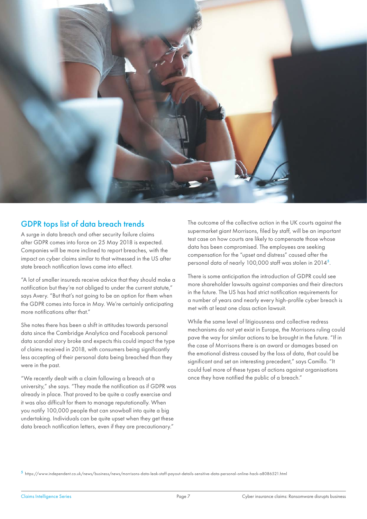

### GDPR tops list of data breach trends

A surge in data breach and other security failure claims after GDPR comes into force on 25 May 2018 is expected. Companies will be more inclined to report breaches, with the impact on cyber claims similar to that witnessed in the US after state breach notification laws came into effect.

"A lot of smaller insureds receive advice that they should make a notification but they're not obliged to under the current statute," says Avery. "But that's not going to be an option for them when the GDPR comes into force in May. We're certainly anticipating more notifications after that."

She notes there has been a shift in attitudes towards personal data since the Cambridge Analytica and Facebook personal data scandal story broke and expects this could impact the type of claims received in 2018, with consumers being significantly less accepting of their personal data being breached than they were in the past.

"We recently dealt with a claim following a breach at a university," she says. "They made the notification as if GDPR was already in place. That proved to be quite a costly exercise and it was also difficult for them to manage reputationally. When you notify 100,000 people that can snowball into quite a big undertaking. Individuals can be quite upset when they get these data breach notification letters, even if they are precautionary."

The outcome of the collective action in the UK courts against the supermarket giant Morrisons, filed by staff, will be an important test case on how courts are likely to compensate those whose data has been compromised. The employees are seeking compensation for the "upset and distress" caused after the personal data of nearly 100,000 staff was stolen in 2014<sup>5</sup>.

There is some anticipation the introduction of GDPR could see more shareholder lawsuits against companies and their directors in the future. The US has had strict notification requirements for a number of years and nearly every high-profile cyber breach is met with at least one class action lawsuit.

While the same level of litigiousness and collective redress mechanisms do not yet exist in Europe, the Morrisons ruling could pave the way for similar actions to be brought in the future. "If in the case of Morrisons there is an award or damages based on the emotional distress caused by the loss of data, that could be significant and set an interesting precedent," says Camillo. "It could fuel more of these types of actions against organisations once they have notified the public of a breach."

<sup>5</sup> https://www.independent.co.uk/news/business/news/morrisons-data-leak-staff-payout-details-sensitive-data-personal-online-hack-a8086521.html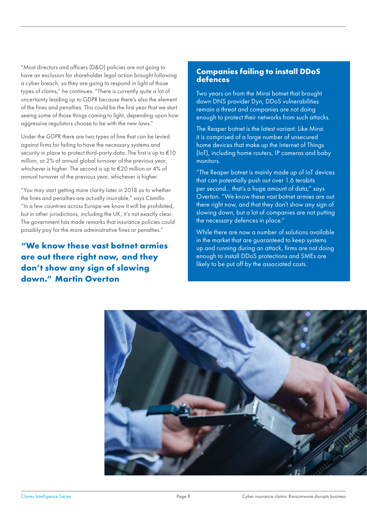"Most directors and officers (D&O) policies are not going to have an exclusion for shareholder legal action brought following a cyber breach, so they are going to respond in light of those types of claims," he continues. "There is currently quite a lot of uncertainty leading up to GDPR because there's also the element of the fines and penalties. This could be the first year that we start seeing some of those things coming to light, depending upon how aggressive regulators choose to be with the new laws."

Under the GDPR there are two types of fine that can be levied against firms for failing to have the necessary systems and security in place to protect third-party data. The first is up to €10 million, or 2% of annual global turnover of the previous year, whichever is higher. The second is up to €20 million or 4% of annual turnover of the previous year, whichever is higher.

"You may start getting more clarity later in 2018 as to whether the fines and penalties are actually insurable," says Camillo. "In a few countries across Europe we know it will be prohibited, but in other jurisdictions, including the UK, it's not exactly clear. The government has made remarks that insurance policies could possibly pay for the more administrative fines or penalties."

**"We know these vast botnet armies are out there right now, and they don't show any sign of slowing down." Martin Overton**

#### **Companies failing to install DDoS defences**

Two years on from the Mirai botnet that brought down DNS provider Dyn, DDoS vulnerabilities remain a threat and companies are not doing enough to protect their networks from such attacks.

The Reaper botnet is the latest variant. Like Mirai it is comprised of a large number of unsecured home devices that make up the Internet of Things (IoT), including home routers, IP cameras and baby monitors.

"The Reaper botnet is mainly made up of IoT devices that can potentially push out over 1.6 terabits per second... that's a huge amount of data," says Overton. "We know these vast botnet armies are out there right now, and that they don't show any sign of slowing down, but a lot of companies are not putting the necessary defences in place."

While there are now a number of solutions available in the market that are guaranteed to keep systems up and running during an attack, firms are not doing enough to install DDoS protections and SMEs are likely to be put off by the associated costs.

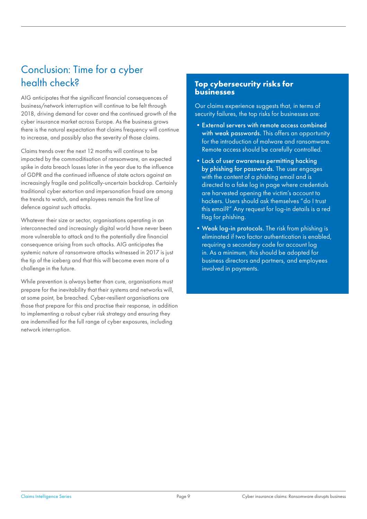# Conclusion: Time for a cyber health check?

AIG anticipates that the significant financial consequences of business/network interruption will continue to be felt through 2018, driving demand for cover and the continued growth of the cyber insurance market across Europe. As the business grows there is the natural expectation that claims frequency will continue to increase, and possibly also the severity of those claims.

Claims trends over the next 12 months will continue to be impacted by the commoditisation of ransomware, an expected spike in data breach losses later in the year due to the influence of GDPR and the continued influence of state actors against an increasingly fragile and politically-uncertain backdrop. Certainly traditional cyber extortion and impersonation fraud are among the trends to watch, and employees remain the first line of defence against such attacks.

Whatever their size or sector, organisations operating in an interconnected and increasingly digital world have never been more vulnerable to attack and to the potentially dire financial consequence arising from such attacks. AIG anticipates the systemic nature of ransomware attacks witnessed in 2017 is just the tip of the iceberg and that this will become even more of a challenge in the future.

While prevention is always better than cure, organisations must prepare for the inevitability that their systems and networks will, at some point, be breached. Cyber-resilient organisations are those that prepare for this and practise their response, in addition to implementing a robust cyber risk strategy and ensuring they are indemnified for the full range of cyber exposures, including network interruption.

#### **Top cybersecurity risks for businesses**

Our claims experience suggests that, in terms of security failures, the top risks for businesses are:

- External servers with remote access combined with weak passwords. This offers an opportunity for the introduction of malware and ransomware. Remote access should be carefully controlled.
- •Lack of user awareness permitting hacking by phishing for passwords. The user engages with the content of a phishing email and is directed to a fake log in page where credentials are harvested opening the victim's account to hackers. Users should ask themselves "do I trust this email?" Any request for log-in details is a red flag for phishing.
- Weak log-in protocols. The risk from phishing is eliminated if two factor authentication is enabled, requiring a secondary code for account log in. As a minimum, this should be adopted for business directors and partners, and employees involved in payments.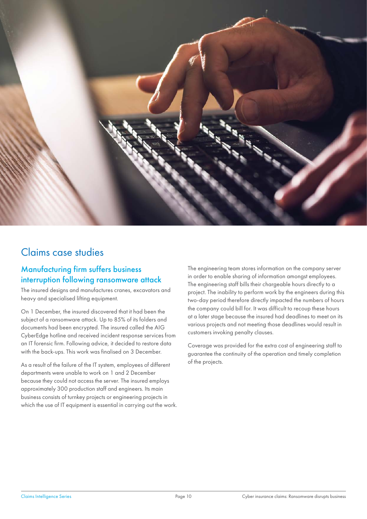

# Claims case studies

# Manufacturing firm suffers business interruption following ransomware attack

The insured designs and manufactures cranes, excavators and heavy and specialised lifting equipment.

On 1 December, the insured discovered that it had been the subject of a ransomware attack. Up to 85% of its folders and documents had been encrypted. The insured called the AIG CyberEdge hotline and received incident response services from an IT forensic firm. Following advice, it decided to restore data with the back-ups. This work was finalised on 3 December.

As a result of the failure of the IT system, employees of different departments were unable to work on 1 and 2 December because they could not access the server. The insured employs approximately 300 production staff and engineers. Its main business consists of turnkey projects or engineering projects in which the use of IT equipment is essential in carrying out the work. The engineering team stores information on the company server in order to enable sharing of information amongst employees. The engineering staff bills their chargeable hours directly to a project. The inability to perform work by the engineers during this two-day period therefore directly impacted the numbers of hours the company could bill for. It was difficult to recoup these hours at a later stage because the insured had deadlines to meet on its various projects and not meeting those deadlines would result in customers invoking penalty clauses.

Coverage was provided for the extra cost of engineering staff to guarantee the continuity of the operation and timely completion of the projects.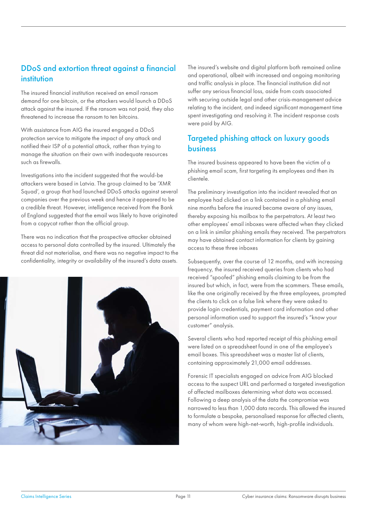# DDoS and extortion threat against a financial institution

The insured financial institution received an email ransom demand for one bitcoin, or the attackers would launch a DDoS attack against the insured. If the ransom was not paid, they also threatened to increase the ransom to ten bitcoins.

With assistance from AIG the insured engaged a DDoS protection service to mitigate the impact of any attack and notified their ISP of a potential attack, rather than trying to manage the situation on their own with inadequate resources such as firewalls.

Investigations into the incident suggested that the would-be attackers were based in Latvia. The group claimed to be 'XMR Squad', a group that had launched DDoS attacks against several companies over the previous week and hence it appeared to be a credible threat. However, intelligence received from the Bank of England suggested that the email was likely to have originated from a copycat rather than the official group.

There was no indication that the prospective attacker obtained access to personal data controlled by the insured. Ultimately the threat did not materialise, and there was no negative impact to the confidentiality, integrity or availability of the insured's data assets.



The insured's website and digital platform both remained online and operational, albeit with increased and ongoing monitoring and traffic analysis in place. The financial institution did not suffer any serious financial loss, aside from costs associated with securing outside legal and other crisis-management advice relating to the incident, and indeed significant management time spent investigating and resolving it. The incident response costs were paid by AIG.

# Targeted phishing attack on luxury goods business

The insured business appeared to have been the victim of a phishing email scam, first targeting its employees and then its clientele.

The preliminary investigation into the incident revealed that an employee had clicked on a link contained in a phishing email nine months before the insured became aware of any issues, thereby exposing his mailbox to the perpetrators. At least two other employees' email inboxes were affected when they clicked on a link in similar phishing emails they received. The perpetrators may have obtained contact information for clients by gaining access to these three inboxes

Subsequently, over the course of 12 months, and with increasing frequency, the insured received queries from clients who had received "spoofed" phishing emails claiming to be from the insured but which, in fact, were from the scammers. These emails, like the one originally received by the three employees, prompted the clients to click on a false link where they were asked to provide login credentials, payment card information and other personal information used to support the insured's "know your customer" analysis.

Several clients who had reported receipt of this phishing email were listed on a spreadsheet found in one of the employee's email boxes. This spreadsheet was a master list of clients, containing approximately 21,000 email addresses.

Forensic IT specialists engaged on advice from AIG blocked access to the suspect URL and performed a targeted investigation of affected mailboxes determining what data was accessed. Following a deep analysis of the data the compromise was narrowed to less than 1,000 data records. This allowed the insured to formulate a bespoke, personalised response for affected clients, many of whom were high-net-worth, high-profile individuals.